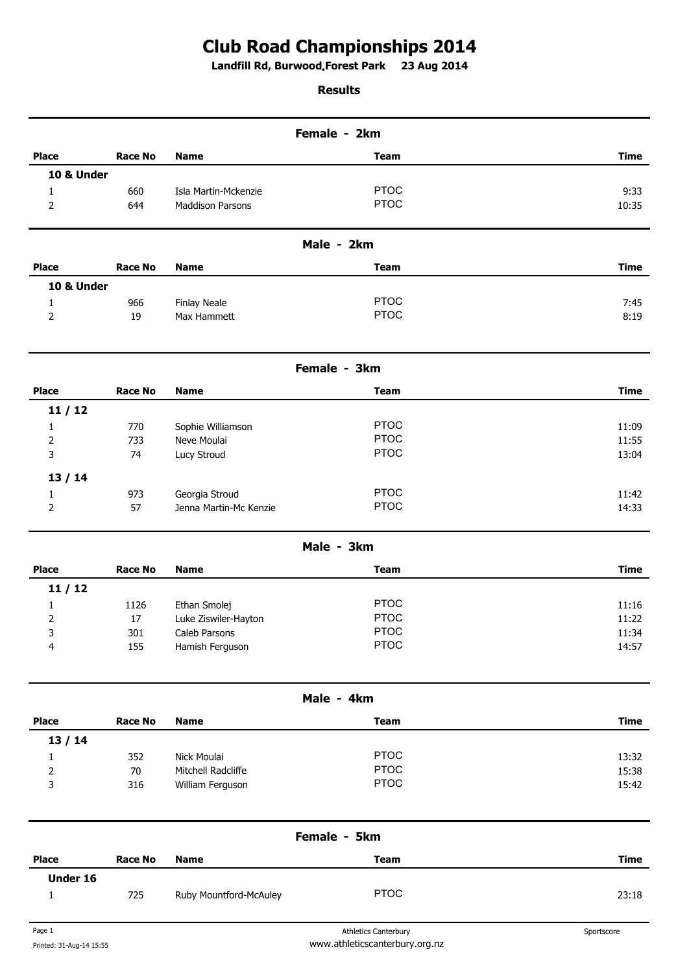## **Club Road Championships 2014**

**Landfill Rd, Burwood Forest Park 23 Aug 2014 .** 

## **Results**

| Female - 2km |                |                         |                             |             |  |
|--------------|----------------|-------------------------|-----------------------------|-------------|--|
| <b>Place</b> | <b>Race No</b> | <b>Name</b>             | <b>Team</b>                 | <b>Time</b> |  |
| 10 & Under   |                |                         |                             |             |  |
| 1            | 660            | Isla Martin-Mckenzie    | <b>PTOC</b>                 | 9:33        |  |
| 2            | 644            | <b>Maddison Parsons</b> | <b>PTOC</b>                 | 10:35       |  |
|              |                |                         | Male - 2km                  |             |  |
| <b>Place</b> | <b>Race No</b> | <b>Name</b>             | <b>Team</b>                 | <b>Time</b> |  |
| 10 & Under   |                |                         |                             |             |  |
| 1            | 966            | <b>Finlay Neale</b>     | <b>PTOC</b>                 | 7:45        |  |
| 2            | 19             | Max Hammett             | <b>PTOC</b>                 | 8:19        |  |
|              |                |                         | Female - 3km                |             |  |
| <b>Place</b> | <b>Race No</b> | <b>Name</b>             | <b>Team</b>                 | <b>Time</b> |  |
| 11/12        |                |                         |                             |             |  |
| 1            | 770            | Sophie Williamson       | <b>PTOC</b>                 | 11:09       |  |
| 2            | 733            | Neve Moulai             | <b>PTOC</b>                 | 11:55       |  |
| 3            | 74             | Lucy Stroud             | <b>PTOC</b>                 | 13:04       |  |
| 13/14        |                |                         |                             |             |  |
| 1            | 973            | Georgia Stroud          | <b>PTOC</b>                 | 11:42       |  |
| 2            | 57             | Jenna Martin-Mc Kenzie  | <b>PTOC</b>                 | 14:33       |  |
|              |                |                         | Male - 3km                  |             |  |
| <b>Place</b> | <b>Race No</b> | <b>Name</b>             | <b>Team</b>                 | <b>Time</b> |  |
| 11/12        |                |                         |                             |             |  |
| 1            | 1126           | Ethan Smolej            | <b>PTOC</b>                 | 11:16       |  |
| 2            | $17\,$         | Luke Ziswiler-Hayton    | <b>PTOC</b>                 | 11:22       |  |
| 3            | 301            | Caleb Parsons           | <b>PTOC</b>                 | 11:34       |  |
| 4            | 155            | Hamish Ferguson         | <b>PTOC</b>                 | 14:57       |  |
|              |                |                         | Male - 4km                  |             |  |
| <b>Place</b> | <b>Race No</b> | <b>Name</b>             | <b>Team</b>                 | <b>Time</b> |  |
| 13/14        |                |                         |                             |             |  |
| 1            | 352            | Nick Moulai             | <b>PTOC</b>                 | 13:32       |  |
| 2            | 70             | Mitchell Radcliffe      | <b>PTOC</b>                 | 15:38       |  |
| 3            | 316            | William Ferguson        | <b>PTOC</b>                 | 15:42       |  |
|              |                |                         | Female - 5km                |             |  |
| <b>Place</b> | <b>Race No</b> | <b>Name</b>             | <b>Team</b>                 | <b>Time</b> |  |
| Under 16     |                |                         |                             |             |  |
| 1            | 725            | Ruby Mountford-McAuley  | <b>PTOC</b>                 | 23:18       |  |
| Page 1       |                |                         | <b>Athletics Canterbury</b> | Sportscore  |  |